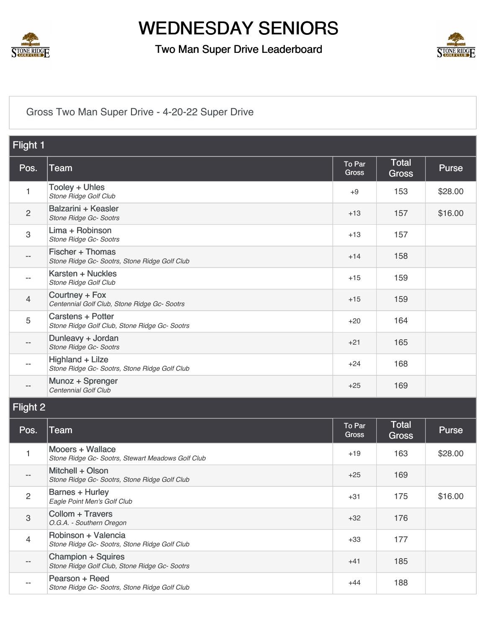

#### Two Man Super Drive Leaderboard



#### [Gross Two Man Super Drive - 4-20-22 Super Drive](https://static.golfgenius.com/v2tournaments/8404894331739077458?called_from=&round_index=37)

| Flight 1       |                                                                            |                 |                              |              |
|----------------|----------------------------------------------------------------------------|-----------------|------------------------------|--------------|
| Pos.           | <b>Team</b>                                                                | To Par<br>Gross | <b>Total</b><br><b>Gross</b> | <b>Purse</b> |
| 1              | Tooley + Uhles<br>Stone Ridge Golf Club                                    | $+9$            | 153                          | \$28.00      |
| $\overline{c}$ | Balzarini + Keasler<br>Stone Ridge Gc- Sootrs                              | $+13$           | 157                          | \$16.00      |
| 3              | Lima + Robinson<br>Stone Ridge Gc- Sootrs                                  | $+13$           | 157                          |              |
| $-$            | Fischer + Thomas<br>Stone Ridge Gc- Sootrs, Stone Ridge Golf Club          | $+14$           | 158                          |              |
| --             | Karsten + Nuckles<br>Stone Ridge Golf Club                                 | $+15$           | 159                          |              |
| 4              | Courtney + Fox<br>Centennial Golf Club, Stone Ridge Gc- Sootrs             | $+15$           | 159                          |              |
| 5              | Carstens + Potter<br>Stone Ridge Golf Club, Stone Ridge Gc- Sootrs         | $+20$           | 164                          |              |
|                | Dunleavy + Jordan<br>Stone Ridge Gc- Sootrs                                | $+21$           | 165                          |              |
|                | Highland + Lilze<br>Stone Ridge Gc- Sootrs, Stone Ridge Golf Club          | $+24$           | 168                          |              |
|                | Munoz + Sprenger<br>Centennial Golf Club                                   | $+25$           | 169                          |              |
| Flight 2       |                                                                            |                 |                              |              |
| Pos.           | <b>Team</b>                                                                | To Par<br>Gross | <b>Total</b><br>Gross        | <b>Purse</b> |
| 1              | Mooers + Wallace<br>Stone Ridge Gc- Sootrs, Stewart Meadows Golf Club      | $+19$           | 163                          | \$28.00      |
| --             | Mitchell + Olson<br>Stone Ridge Gc- Sootrs, Stone Ridge Golf Club          | $+25$           | 169                          |              |
| $\overline{c}$ | <b>Barnes + Hurley</b><br>Eagle Point Men's Golf Club                      | $+31$           | 175                          | \$16.00      |
| 3              | Collom + Travers<br>O.G.A. - Southern Oregon                               | $+32$           | 176                          |              |
| 4              | Robinson + Valencia<br>Stone Ridge Gc- Sootrs, Stone Ridge Golf Club       | $+33$           | 177                          |              |
| $-$            | <b>Champion + Squires</b><br>Stone Ridge Golf Club, Stone Ridge Gc- Sootrs | $+41$           | 185                          |              |
|                | Pearson + Reed<br>Stone Ridge Gc- Sootrs, Stone Ridge Golf Club            | $+44$           | 188                          |              |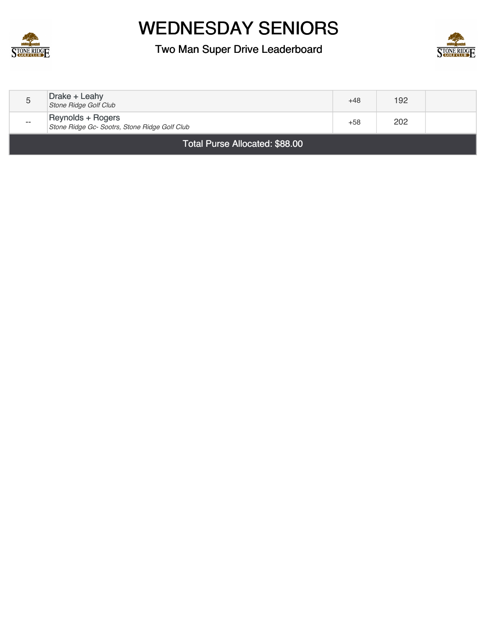

### Two Man Super Drive Leaderboard



|                                | Drake + Leahy<br>Stone Ridge Golf Club                             | +48   | 192 |  |
|--------------------------------|--------------------------------------------------------------------|-------|-----|--|
| $- -$                          | Reynolds + Rogers<br>Stone Ridge Gc- Sootrs, Stone Ridge Golf Club | $+58$ | 202 |  |
| Total Purse Allocated: \$88.00 |                                                                    |       |     |  |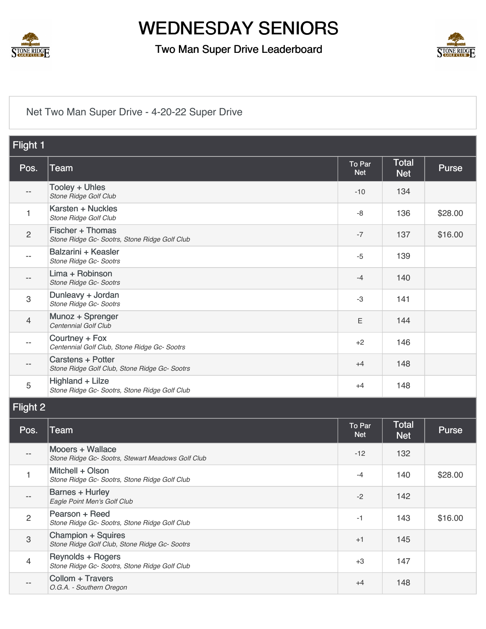

#### Two Man Super Drive Leaderboard



#### [Net Two Man Super Drive - 4-20-22 Super Drive](https://static.golfgenius.com/v2tournaments/8404894335799163731?called_from=&round_index=37)

| Flight 1                  |                                                                            |                      |                            |              |
|---------------------------|----------------------------------------------------------------------------|----------------------|----------------------------|--------------|
| Pos.                      | Team                                                                       | To Par<br><b>Net</b> | <b>Total</b><br><b>Net</b> | Purse        |
| $ -$                      | Tooley + Uhles<br>Stone Ridge Golf Club                                    | $-10$                | 134                        |              |
| 1                         | Karsten + Nuckles<br><b>Stone Ridge Golf Club</b>                          | -8                   | 136                        | \$28.00      |
| $\overline{c}$            | <b>Fischer + Thomas</b><br>Stone Ridge Gc- Sootrs, Stone Ridge Golf Club   | $-7$                 | 137                        | \$16.00      |
| $-$                       | Balzarini + Keasler<br>Stone Ridge Gc- Sootrs                              | $-5$                 | 139                        |              |
| $-$                       | Lima + Robinson<br>Stone Ridge Gc- Sootrs                                  | $-4$                 | 140                        |              |
| $\ensuremath{\mathsf{3}}$ | Dunleavy + Jordan<br>Stone Ridge Gc- Sootrs                                | $-3$                 | 141                        |              |
| 4                         | Munoz + Sprenger<br>Centennial Golf Club                                   | Ε                    | 144                        |              |
| $-\,-$                    | Courtney + Fox<br>Centennial Golf Club, Stone Ridge Gc- Sootrs             | $+2$                 | 146                        |              |
| $-$                       | <b>Carstens + Potter</b><br>Stone Ridge Golf Club, Stone Ridge Gc- Sootrs  | +4                   | 148                        |              |
| 5                         | Highland + Lilze<br>Stone Ridge Gc- Sootrs, Stone Ridge Golf Club          | +4                   | 148                        |              |
| Flight 2                  |                                                                            |                      |                            |              |
| Pos.                      | <b>Team</b>                                                                | To Par<br><b>Net</b> | <b>Total</b><br><b>Net</b> | <b>Purse</b> |
| $-$                       | Mooers + Wallace<br>Stone Ridge Gc- Sootrs, Stewart Meadows Golf Club      | $-12$                | 132                        |              |
| 1                         | Mitchell + Olson<br>Stone Ridge Gc- Sootrs, Stone Ridge Golf Club          | $-4$                 | 140                        | \$28.00      |
| $-$                       | <b>Barnes + Hurley</b><br>Eagle Point Men's Golf Club                      | $-2$                 | 142                        |              |
| $\overline{c}$            | Pearson + Reed<br>Stone Ridge Gc- Sootrs, Stone Ridge Golf Club            | $-1$                 | 143                        | \$16.00      |
| $\mathbf 3$               | <b>Champion + Squires</b><br>Stone Ridge Golf Club, Stone Ridge Gc- Sootrs | $+1$                 | 145                        |              |
| 4                         | <b>Reynolds + Rogers</b><br>Stone Ridge Gc- Sootrs, Stone Ridge Golf Club  | $+3$                 | 147                        |              |
|                           | Collom + Travers<br>O.G.A. - Southern Oregon                               | $+4$                 | 148                        |              |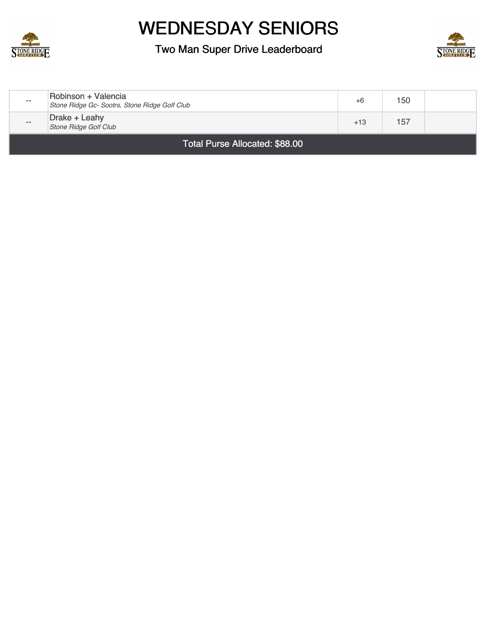

### Two Man Super Drive Leaderboard



| $- -$                                 | Robinson + Valencia<br>Stone Ridge Gc- Sootrs, Stone Ridge Golf Club | $+6$  | 150 |  |
|---------------------------------------|----------------------------------------------------------------------|-------|-----|--|
| $- -$                                 | Drake + Leahy<br>Stone Ridge Golf Club                               | $+13$ | 157 |  |
| <b>Total Purse Allocated: \$88.00</b> |                                                                      |       |     |  |